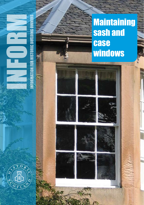# **Maintaining** sash and case **windows**











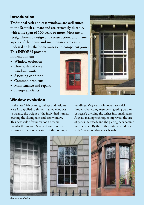# Introduction

**Traditional sash and case windows are well suited to the Scottish climate and are extremely durable, with a life span of 100 years or more. Most are of straightforward design and construction, and many aspects of their care and maintenance are easily undertaken by the homeowner and competent joiner.** 

**This INFORM provides information on:**

- **• Window evolution**
- **• How sash and case windows work**
- **• Assessing condition**
- **• Common problems**
- **• Maintenance and repairs**
- **• Energy efficiency**

# Window evolution

In the late 17th century, pulleys and weights were first applied to timber-framed windows to balance the weight of the individual frames, creating the sliding sash and case window. This new style of window soon became popular throughout Scotland and is now a recognised traditional feature of the country's

buildings. Very early windows have thick timber subdividing members ('glazing bars' or 'astragals') dividing the sashes into small panes. As glass-making techniques improved, the size of panes increased, and the glazing bars became more slender. By the 18th Century, windows with 6 panes of glass in each sash



*Window evolution*



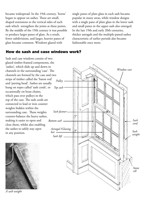became widespread. In the 19th century, 'horns' began to appear on sashes. These are small, shaped extensions to the vertical sides of each sash which strengthen the joints at these points. By the middle of the 19th century it was possible to produce larger panes of glass. As a result, fewer subdivisions, and larger, heavier panes of glass became common. Windows glazed with

single panes of plate glass in each sash became popular in many areas, while window designs with a single pane of plate glass in the lower sash and small panes in the upper sash also emerged. In the late 19th and early 20th centuries, thicker astragals and the multiple-paned sashes characteristic of earlier periods also became fashionable once more.

### How do sash and case windows work?

Sash and case windows consist of two glazed timber-framed components, the 'sashes', which slide up and down in channels in the surrounding 'case'. The channels are formed by the case and two strips of timber called the 'baton rod' and 'parting bead'. Sashes are usually hung on ropes called 'sash cords', or occasionally on brass chains, which pass over pulleys in the top of the case. The sash cords are connected to lead or iron counter weights hidden within the surrounding case. These weights counter-balance the heavy sashes, making it easier to open and close them, whilst also enabling the sashes to safely stay open in any position.



*A sash weight*

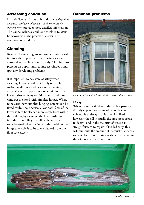# Assessing condition

Historic Scotland's free publication, *Looking after your sash and case windows – A short guide for homeowners*, provides more detailed information. The Guide includes a pull out checklist to assist homeowners in the process of assessing the condition of windows.

# Cleaning

Regular cleaning of glass and timber surfaces will improve the appearance of sash windows and ensure that they function correctly. Cleaning also presents an opportunity to inspect windows and spot any developing problems.

It is important to be aware of safety when cleaning, keeping both feet firmly on a solid surface at all times and never over-reaching, especially at the upper levels of a building. The lower sashes of many traditional sash and case windows are fitted with 'simplex' hinges. Where none exist, new 'simplex' hinging systems can be fitted easily. These devices allow both faces of the lower sash to be cleaned more safely from within the building by swinging the lower sash inwards into the room. They also allow the upper sash to be lowered when the inner sash is held on the hinge to enable it to be safely cleaned from the floor level access.

# Common problems



*Deteriorating paint leaves timber vulnerable to decay*

#### **Decay**

Where paint breaks down, the timber parts are directly exposed to the weather and become vulnerable to decay. Rot is often localised however (the cill is usually the area most prone to decay), and in the majority of cases it is straightforward to repair. If tackled early, this will minimise the amount of material that needs to be replaced. Repainting is also essential to give the window better protection.



*A badly rotten cill*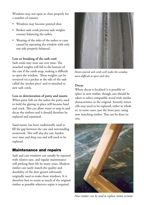Windows may not open or close properly for a number of reasons:

- Windows may become painted shut.
- Broken sash cords prevent sash weights counter balancing the sashes.
- Wearing of the sides of the sashes or cases caused by operating the window with only one side properly balanced.

#### **Loss or breaking of the sash cord**

Sash cords may wear out over time. The attached weights will fall to the bottom of the case if the cords snap, making it difficult to open the window. These weights can be retrieved via a pocket at the side of the sash called the 'pocket piece' and re-attached to new sash cords.

#### **Loss or deterioration of putty and mastic**

When paint fails on the sashes the putty used to hold the glazing in place will become hard and crack. This can allow water to seep in and decay the timbers and it should therefore be replaced and repainted.

Sand mastic has been traditionally used to fill the gap between the case and surrounding stonework. This will also dry out, harden over time and drop out and will need to be replaced.

## Maintenance and repairs

Sash and case windows can usually be repaired with relative ease, and regular maintenance will prolong their life by many years. Modern timber can rarely match the quality and durability of the slow-grown softwoods originally used to make these windows. It is therefore best to retain as much of the original timber as possible wherever repair is required.



*Paint-covered sash cords will make the window more difficult to open and close*

#### **Decay**

Where decay is localised it is possible to splice in new timber, though care should be taken to select compatible wood with similar characteristics to the original. Severely rotten cills may need to be replaced, either in whole or, in some cases, just the front part, using new matching timber. This can be done insitu.



*New timber can be used to replace rotten sections*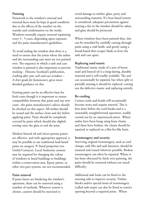#### **Painting**

Paintwork to the window's external and internal faces must be kept in good condition due to the effects of the weather on the outside and condensation on the inside. Windows normally require external repainting every 3 - 5 years, depending upon exposure and the paint manufacturer's guidelines.

To avoid sealing the window shut there is a need to ensure that the joints where the sashes and the surrounding case meet are not painted over. The sequence in which a sash and case window is painted is also important to prevent sticking – Historic Scotland's publication, *Looking after your sash and case windows – A short guide for homeowners*, gives more detailed guidance on this.

Existing paint can be an effective base for fresh coats though it is important to ensure compatibility between that paint and any new coats –the paint manufacturer's advice should be checked on this aspect. All timber should be sound and the surface clean and dry before applying paint. Putty should be completely covered by paint which should also slightly overlap onto the glass to seal the joint.

Modern linseed oil and micro-porous paints are effective, and with appropriate approval, it may be possible to use traditional lead-based paint on category 'A' listed properties (see Useful Contacts). Local Authority consent may be required for changing the colour of windows in listed buildings or buildings within a conservation area. Epoxy paints, or other two-part systems, are not recommended.

#### **Paint removal**

If paint layers are hindering the window's operation, these can be removed using a number of methods. Whatever system is chosen, caution should be exercised to

avoid damage to timber, glass, putty and surrounding masonry. If a heat-based system is considered, adequate precautions against starting a fire in the window should be taken, and glass should be protected.

Where windows have been painted shut, this can be remedied by carefully cutting through paint using a craft knife, and gently using a broad-based thin scraper blade to lever the sash and case apart.

#### **Replacing sand mastic**

Traditional mastic made of a mix of burnt sand and linseed oil is a long-lasting, durable material and is still readily available. The seal can occasionally be repaired, but when split or partially missing it should be replaced, cutting out the defective mastic and replacing entirely.

#### **Re-cording**

Cotton cords and braids will occasionally become worn and require renewal. This is best done before the cord breaks and is a reasonably straightforward operation, readily carried out by an experienced joiner. Where sashes have been hung using brass chains and these have broken, the chains should be repaired or replaced on a like-for-like basis.

#### **Ironmongery and security**

Surviving original ironmongery, such as cord clamps, sash lifts and sash fasteners, should be retained and reused wherever possible. Broken ironmongery can often be repaired. Where it has been obscured by thick over-painting, the paint should be removed without too much difficulty.

Additional sash locks can be fitted to the meeting rails to improve security. Timber blocks and/or special items of ironmongery (called sash stops) can also be fitted to restrict opening beyond a required point. Where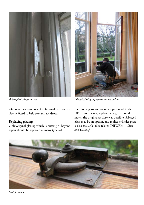

*A 'simplex' hinge system*

*'Simplex' hinging system in operation*

windows have very low cills, internal barriers can also be fitted to help prevent accidents.

#### **Replacing glazing**

Only original glazing which is missing or beyond repair should be replaced as many types of

traditional glass are no longer produced in the UK. In most cases, replacement glass should match the original as closely as possible. Salvaged glass may be an option, and replica cylinder glass is also available. (See related INFORM – *Glass and Glazing*).



*Sash fastener*